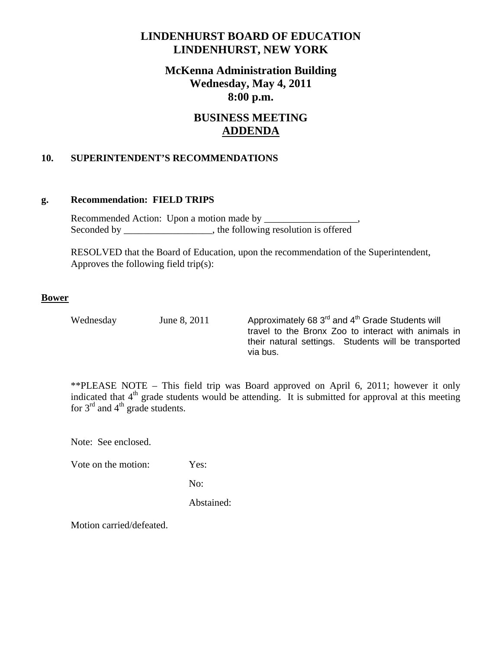# **LINDENHURST BOARD OF EDUCATION LINDENHURST, NEW YORK**

# **McKenna Administration Building Wednesday, May 4, 2011 8:00 p.m.**

# **BUSINESS MEETING ADDENDA**

## **10. SUPERINTENDENT'S RECOMMENDATIONS**

#### **g. Recommendation: FIELD TRIPS**

Recommended Action: Upon a motion made by \_\_\_\_\_\_\_\_\_\_ Seconded by \_\_\_\_\_\_\_\_\_\_\_\_\_\_\_, the following resolution is offered

 RESOLVED that the Board of Education, upon the recommendation of the Superintendent, Approves the following field trip(s):

#### **Bower**

Wednesday June 8, 2011 Approximately 68  $3<sup>rd</sup>$  and  $4<sup>th</sup>$  Grade Students will travel to the Bronx Zoo to interact with animals in their natural settings. Students will be transported via bus.

\*\*PLEASE NOTE – This field trip was Board approved on April 6, 2011; however it only indicated that  $4<sup>th</sup>$  grade students would be attending. It is submitted for approval at this meeting for  $3^{rd}$  and  $4^{th}$  grade students.

Note: See enclosed.

Vote on the motion: Yes:

No:

Abstained:

Motion carried/defeated.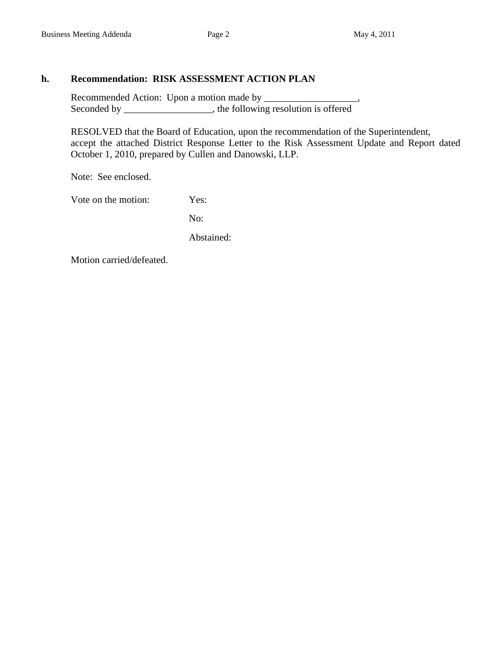### **h. Recommendation: RISK ASSESSMENT ACTION PLAN**

 Recommended Action: Upon a motion made by \_\_\_\_\_\_\_\_\_\_\_\_\_\_\_\_\_\_\_, Seconded by \_\_\_\_\_\_\_\_\_\_\_\_\_, the following resolution is offered

 RESOLVED that the Board of Education, upon the recommendation of the Superintendent, accept the attached District Response Letter to the Risk Assessment Update and Report dated October 1, 2010, prepared by Cullen and Danowski, LLP.

Note: See enclosed.

Vote on the motion: Yes:

No:

Abstained:

Motion carried/defeated.